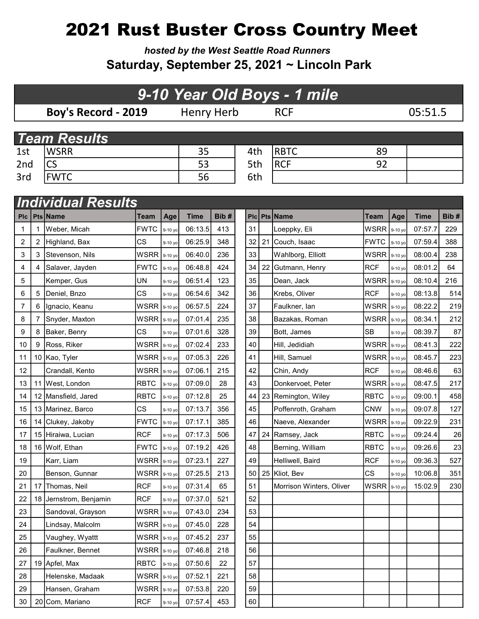## 2021 Rust Buster Cross Country Meet

hosted by the West Seattle Road Runners Saturday, September 25, 2021 ~ Lincoln Park

## Boy's Record - 2019 Henry Herb RCF 05:51.5 1st WSRR 35 4th RBTC 89 2nd CS 53 5th RCF 92 3rd FWTC 3rd 56 6th 9-10 Year Old Boys - 1 mile **Team Results Individual Results**

| <b>PIC</b> |   | Pts Name               | <b>Team</b>  | Age       | <b>Time</b> | Bib# |    | Plc Pts Name             | <b>Team</b> | Age     | <b>Time</b> | Bib# |
|------------|---|------------------------|--------------|-----------|-------------|------|----|--------------------------|-------------|---------|-------------|------|
| 1          |   | Weber, Micah           | <b>FWTC</b>  | 9-10 yo   | 06:13.5     | 413  | 31 | Loeppky, Eli             | <b>WSRR</b> | 9-10 yo | 07:57.7     | 229  |
| 2          | 2 | Highland, Bax          | CS           | 9-10 yo   | 06:25.9     | 348  | 32 | 21 Couch, Isaac          | <b>FWTC</b> | 9-10 yo | 07:59.4     | 388  |
| 3          | 3 | Stevenson, Nils        | <b>WSRR</b>  | 9-10 yo   | 06:40.0     | 236  | 33 | Wahlborg, Elliott        | <b>WSRR</b> | 9-10 yc | 08:00.4     | 238  |
| 4          | 4 | Salaver, Jayden        | <b>FWTC</b>  | 9-10 yo   | 06:48.8     | 424  | 34 | 22 Gutmann, Henry        | <b>RCF</b>  | 9-10 yo | 08:01.2     | 64   |
| 5          |   | Kemper, Gus            | UN           | 9-10 yo   | 06:51.4     | 123  | 35 | Dean, Jack               | <b>WSRR</b> | 9-10 yo | 08:10.4     | 216  |
| 6          | 5 | Deniel, Bnzo           | CS           | 9-10 yo   | 06:54.6     | 342  | 36 | Krebs, Oliver            | <b>RCF</b>  | 9-10 yo | 08:13.8     | 514  |
| 7          | 6 | Ignacio, Keanu         | <b>WSRR</b>  | 9-10 yo   | 06:57.5     | 224  | 37 | Faulkner, lan            | <b>WSRR</b> | 9-10 yo | 08:22.2     | 219  |
| 8          | 7 | Snyder, Maxton         | <b>WSRR</b>  | 9-10 yo   | 07:01.4     | 235  | 38 | Bazakas, Roman           | <b>WSRR</b> | 9-10 yc | 08:34.1     | 212  |
| 9          | 8 | Baker, Benry           | CS           | 9-10 yo   | 07:01.6     | 328  | 39 | Bott, James              | <b>SB</b>   | 9-10 yo | 08:39.7     | 87   |
| 10         | 9 | Ross, Riker            | <b>WSRR</b>  | 9-10 yo   | 07:02.4     | 233  | 40 | Hill, Jedidiah           | <b>WSRR</b> | 9-10 yc | 08:41.3     | 222  |
| 11         |   | 10 Kao, Tyler          | WSRR         | 9-10 yo   | 07:05.3     | 226  | 41 | Hill, Samuel             | <b>WSRR</b> | 9-10 yo | 08:45.7     | 223  |
| 12         |   | Crandall, Kento        | <b>WSRR</b>  | 9-10 yo   | 07:06.1     | 215  | 42 | Chin, Andy               | <b>RCF</b>  | 9-10 yo | 08:46.6     | 63   |
| 13         |   | 11 West, London        | <b>RBTC</b>  | 9-10 yo   | 07:09.0     | 28   | 43 | Donkervoet, Peter        | <b>WSRR</b> | 9-10 yo | 08:47.5     | 217  |
| 14         |   | 12   Mansfield, Jared  | <b>RBTC</b>  | 9-10 yo   | 07:12.8     | 25   | 44 | 23 Remington, Wiley      | <b>RBTC</b> | 9-10 yc | 09:00.1     | 458  |
| 15         |   | 13 Marinez, Barco      | <b>CS</b>    | 9-10 yo   | 07:13.7     | 356  | 45 | Poffenroth, Graham       | <b>CNW</b>  | 9-10 yc | 09:07.8     | 127  |
| 16         |   | 14 Clukey, Jakoby      | <b>FWTC</b>  | 9-10 yo   | 07:17.1     | 385  | 46 | Naeve, Alexander         | <b>WSRR</b> | 9-10 yo | 09:22.9     | 231  |
| 17         |   | 15 Hiraiwa, Lucian     | <b>RCF</b>   | $9-10$ yo | 07:17.3     | 506  | 47 | 24 Ramsey, Jack          | <b>RBTC</b> | 9-10 yo | 09:24.4     | 26   |
| 18         |   | 16 Wolf, Ethan         | <b>FWTC</b>  | 9-10 yo   | 07:19.2     | 426  | 48 | Berning, William         | <b>RBTC</b> | 9-10 yc | 09:26.6     | 23   |
| 19         |   | Karr, Liam             | <b>WSRR</b>  | 9-10 yo   | 07:23.1     | 227  | 49 | Helliwell, Baird         | <b>RCF</b>  | 9-10 yo | 09:36.3     | 527  |
| 20         |   | Benson, Gunnar         | <b>WSRR</b>  | 9-10 yo   | 07:25.5     | 213  | 50 | 25 Kliot, Bev            | CS          | 9-10 yo | 10:06.8     | 351  |
| 21         |   | 17 Thomas, Neil        | <b>RCF</b>   | 9-10 yo   | 07:31.4     | 65   | 51 | Morrison Winters, Oliver | WSRR        | 9-10 yo | 15:02.9     | 230  |
| 22         |   | 18 Jernstrom, Benjamin | <b>RCF</b>   | 9-10 yo   | 07:37.0     | 521  | 52 |                          |             |         |             |      |
| 23         |   | Sandoval, Grayson      | <b>WSRR</b>  | 9-10 yo   | 07:43.0     | 234  | 53 |                          |             |         |             |      |
| 24         |   | Lindsay, Malcolm       | WSRR 9-10 yo |           | 07:45.0     | 228  | 54 |                          |             |         |             |      |
| 25         |   | Vaughey, Wyattt        | WSRR         | 9-10 yo   | 07:45.2     | 237  | 55 |                          |             |         |             |      |
| 26         |   | Faulkner, Bennet       | <b>WSRR</b>  | 9-10 yo   | 07:46.8     | 218  | 56 |                          |             |         |             |      |
| 27         |   | 19 Apfel, Max          | <b>RBTC</b>  | 9-10 yo   | 07:50.6     | 22   | 57 |                          |             |         |             |      |
| 28         |   | Helenske, Madaak       | <b>WSRR</b>  | 9-10 yo   | 07:52.1     | 221  | 58 |                          |             |         |             |      |
| 29         |   | Hansen, Graham         | <b>WSRR</b>  | 9-10 yo   | 07:53.8     | 220  | 59 |                          |             |         |             |      |
| 30         |   | 20 Com, Mariano        | <b>RCF</b>   | 9-10 yo   | 07:57.4     | 453  | 60 |                          |             |         |             |      |